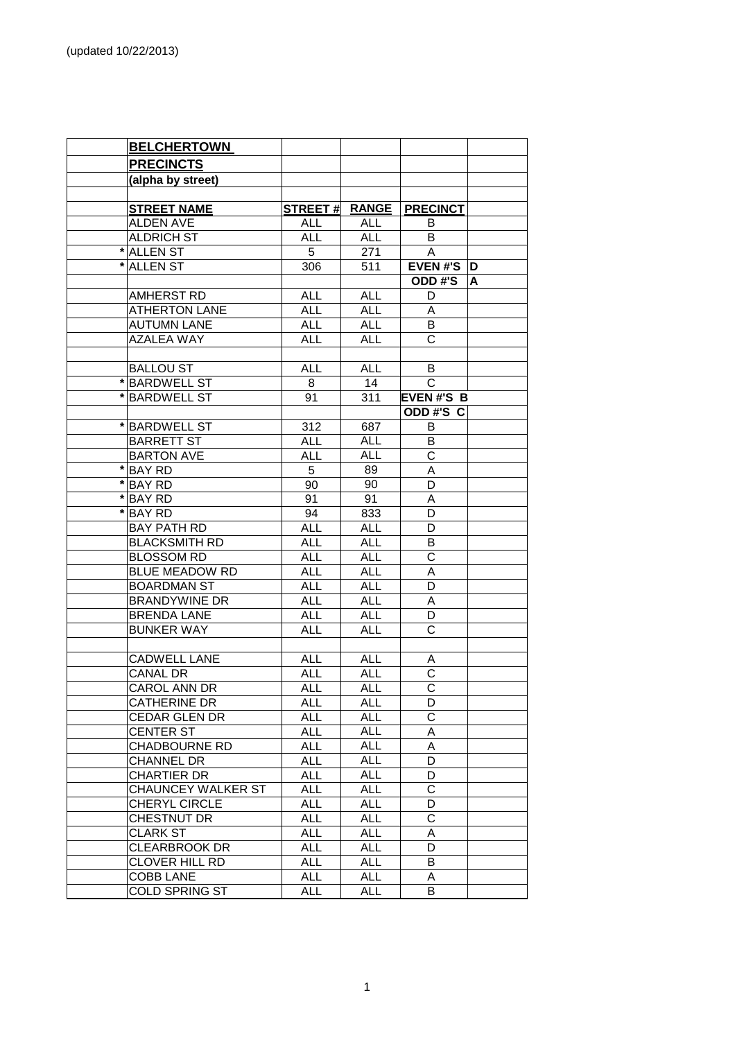|         | <b>BELCHERTOWN</b>        |                |              |                  |   |
|---------|---------------------------|----------------|--------------|------------------|---|
|         | <b>PRECINCTS</b>          |                |              |                  |   |
|         | (alpha by street)         |                |              |                  |   |
|         |                           |                |              |                  |   |
|         | <b>STREET NAME</b>        | <b>STREET#</b> | <b>RANGE</b> | <b>PRECINCT</b>  |   |
|         | <b>ALDEN AVE</b>          | ALL            | <b>ALL</b>   | В                |   |
|         | <b>ALDRICH ST</b>         | <b>ALL</b>     | <b>ALL</b>   | В                |   |
|         | <b>ALLEN ST</b>           | 5              | 271          | A                |   |
|         | <b>ALLEN ST</b>           | 306            | 511          | <b>EVEN#'S</b>   | D |
|         |                           |                |              | <b>ODD#'S</b>    | A |
|         | AMHERST RD                | <b>ALL</b>     | <b>ALL</b>   | D                |   |
|         | <b>ATHERTON LANE</b>      | <b>ALL</b>     | <b>ALL</b>   | A                |   |
|         | <b>AUTUMN LANE</b>        | <b>ALL</b>     | <b>ALL</b>   | B                |   |
|         | <b>AZALEA WAY</b>         | <b>ALL</b>     | <b>ALL</b>   | C                |   |
|         |                           |                |              |                  |   |
|         | <b>BALLOU ST</b>          | <b>ALL</b>     | <b>ALL</b>   | B                |   |
| *       | <b>BARDWELL ST</b>        | 8              | 14           | C                |   |
|         | * BARDWELL ST             | 91             | 311          | <b>EVEN#'S B</b> |   |
|         |                           |                |              | ODD#'S C         |   |
|         | *BARDWELL ST              | 312            | 687          | B                |   |
|         | <b>BARRETT ST</b>         | ALL            | <b>ALL</b>   | B                |   |
|         | <b>BARTON AVE</b>         | <b>ALL</b>     | <b>ALL</b>   | C                |   |
| *       | <b>BAY RD</b>             | 5              | 89           | A                |   |
| *       | <b>BAY RD</b>             | 90             | 90           | D                |   |
| $\star$ | <b>BAY RD</b>             | 91             | 91           | Α                |   |
| *       | <b>BAY RD</b>             | 94             | 833          | D                |   |
|         | <b>BAY PATH RD</b>        | <b>ALL</b>     | <b>ALL</b>   | D                |   |
|         | <b>BLACKSMITH RD</b>      | <b>ALL</b>     | <b>ALL</b>   | B                |   |
|         | <b>BLOSSOM RD</b>         | <b>ALL</b>     | <b>ALL</b>   | $\mathsf C$      |   |
|         | <b>BLUE MEADOW RD</b>     | <b>ALL</b>     | <b>ALL</b>   | A                |   |
|         | <b>BOARDMAN ST</b>        | <b>ALL</b>     | <b>ALL</b>   | D                |   |
|         | <b>BRANDYWINE DR</b>      | <b>ALL</b>     | <b>ALL</b>   | А                |   |
|         | <b>BRENDA LANE</b>        | <b>ALL</b>     | <b>ALL</b>   | D                |   |
|         | <b>BUNKER WAY</b>         | <b>ALL</b>     | <b>ALL</b>   | С                |   |
|         |                           |                |              |                  |   |
|         | <b>CADWELL LANE</b>       | <b>ALL</b>     | <b>ALL</b>   | A                |   |
|         | CANAL DR                  | <b>ALL</b>     | <b>ALL</b>   | С                |   |
|         | CAROL ANN DR              | <b>ALL</b>     | <b>ALL</b>   | C.               |   |
|         | CATHERINE DR              | ALL            | <b>ALL</b>   | D                |   |
|         | <b>CEDAR GLEN DR</b>      | <b>ALL</b>     | <b>ALL</b>   | С                |   |
|         | <b>CENTER ST</b>          | <b>ALL</b>     | <b>ALL</b>   | A                |   |
|         | <b>CHADBOURNE RD</b>      | ALL            | <b>ALL</b>   | Α                |   |
|         | <b>CHANNEL DR</b>         | ALL            | ALL          | D                |   |
|         | <b>CHARTIER DR</b>        | ALL            | ALL          | D                |   |
|         | <b>CHAUNCEY WALKER ST</b> | <b>ALL</b>     | ALL          | С                |   |
|         | CHERYL CIRCLE             | ALL            | ALL          | D                |   |
|         | CHESTNUT DR               | <b>ALL</b>     | <b>ALL</b>   | C                |   |
|         | <b>CLARK ST</b>           | <b>ALL</b>     | <b>ALL</b>   | Α                |   |
|         | <b>CLEARBROOK DR</b>      | <b>ALL</b>     | <b>ALL</b>   | D                |   |
|         | CLOVER HILL RD            | <b>ALL</b>     | <b>ALL</b>   | B                |   |
|         | <b>COBB LANE</b>          | <b>ALL</b>     | <b>ALL</b>   | A                |   |
|         | <b>COLD SPRING ST</b>     | <b>ALL</b>     | <b>ALL</b>   | B                |   |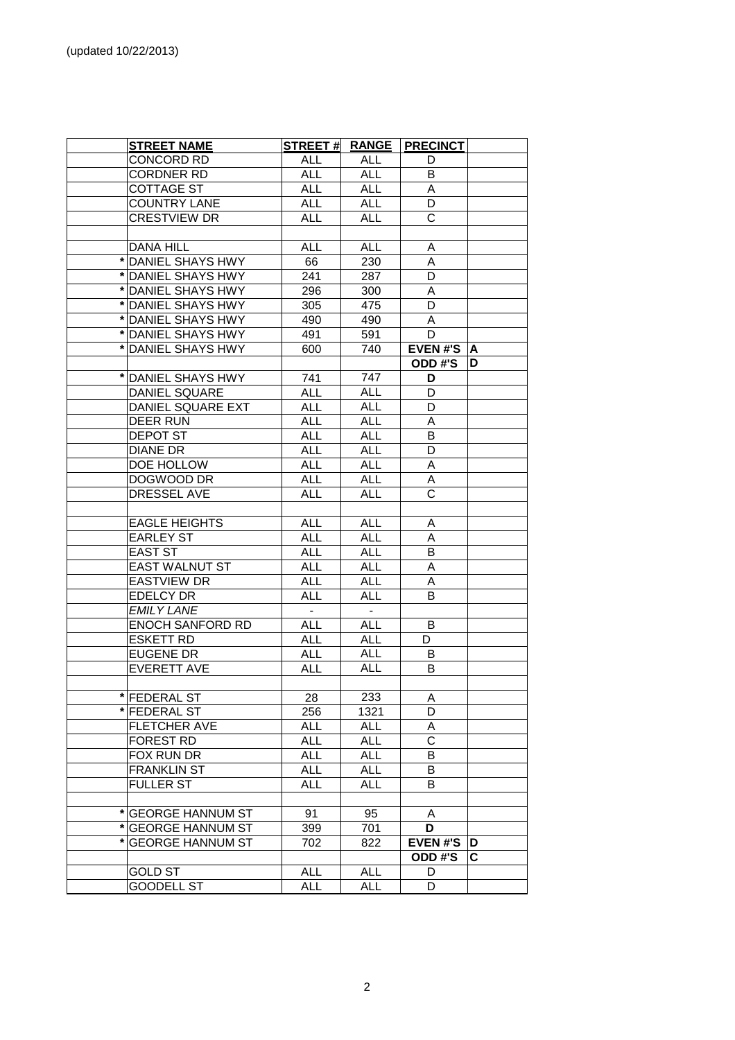|   | <b>STREET NAME</b>      | <b>STREET#</b> | <b>RANGE</b> | <b>PRECINCT</b>       |    |
|---|-------------------------|----------------|--------------|-----------------------|----|
|   | CONCORD RD              | ALL            | ALL          | D                     |    |
|   | <b>CORDNER RD</b>       | <b>ALL</b>     | <b>ALL</b>   | B                     |    |
|   | <b>COTTAGE ST</b>       | <b>ALL</b>     | <b>ALL</b>   | A                     |    |
|   | <b>COUNTRY LANE</b>     | <b>ALL</b>     | <b>ALL</b>   | D                     |    |
|   | <b>CRESTVIEW DR</b>     | <b>ALL</b>     | <b>ALL</b>   | $\overline{\text{c}}$ |    |
|   |                         |                |              |                       |    |
|   | <b>DANA HILL</b>        | <b>ALL</b>     | <b>ALL</b>   | A                     |    |
|   | * DANIEL SHAYS HWY      | 66             | 230          | A                     |    |
|   | * DANIEL SHAYS HWY      | 241            | 287          | D                     |    |
|   | * DANIEL SHAYS HWY      | 296            | 300          | A                     |    |
|   | * DANIEL SHAYS HWY      | 305            | 475          | D                     |    |
|   | * DANIEL SHAYS HWY      | 490            | 490          | A                     |    |
|   | * DANIEL SHAYS HWY      | 491            | 591          | D                     |    |
|   | * DANIEL SHAYS HWY      | 600            | 740          | <b>EVEN#'S</b>        | ΙA |
|   |                         |                |              | <b>ODD#'S</b>         | D  |
| * | <b>DANIEL SHAYS HWY</b> | 741            | 747          | D                     |    |
|   | DANIEL SQUARE           | <b>ALL</b>     | <b>ALL</b>   | D                     |    |
|   | DANIEL SQUARE EXT       | <b>ALL</b>     | <b>ALL</b>   | D                     |    |
|   | <b>DEER RUN</b>         | <b>ALL</b>     | <b>ALL</b>   | A                     |    |
|   | DEPOT ST                | <b>ALL</b>     | <b>ALL</b>   | B                     |    |
|   | DIANE DR                | <b>ALL</b>     | <b>ALL</b>   | D                     |    |
|   | DOE HOLLOW              | <b>ALL</b>     | <b>ALL</b>   | A                     |    |
|   | DOGWOOD DR              | ALL            | ALL          | Α                     |    |
|   | <b>DRESSEL AVE</b>      | <b>ALL</b>     | ALL          | C                     |    |
|   |                         |                |              |                       |    |
|   | <b>EAGLE HEIGHTS</b>    | <b>ALL</b>     | <b>ALL</b>   | Α                     |    |
|   | <b>EARLEY ST</b>        | <b>ALL</b>     | <b>ALL</b>   | A                     |    |
|   | <b>EAST ST</b>          | <b>ALL</b>     | <b>ALL</b>   | B                     |    |
|   | <b>EAST WALNUT ST</b>   | <b>ALL</b>     | <b>ALL</b>   | A                     |    |
|   | <b>EASTVIEW DR</b>      | <b>ALL</b>     | <b>ALL</b>   | A                     |    |
|   | <b>EDELCY DR</b>        | <b>ALL</b>     | <b>ALL</b>   | B                     |    |
|   | <b>EMILY LANE</b>       | $\blacksquare$ | $\sim$       |                       |    |
|   | <b>ENOCH SANFORD RD</b> | <b>ALL</b>     | <b>ALL</b>   | B                     |    |
|   | <b>ESKETT RD</b>        | <b>ALL</b>     | <b>ALL</b>   | D                     |    |
|   | <b>EUGENE DR</b>        | <b>ALL</b>     | <b>ALL</b>   | B                     |    |
|   | <b>EVERETT AVE</b>      | <b>ALL</b>     | <b>ALL</b>   | В                     |    |
|   |                         |                |              |                       |    |
|   | FEDERAL ST              | 28             | 233          | A                     |    |
|   | <b>FEDERAL ST</b>       | 256            | 1321         | D                     |    |
|   | <b>FLETCHER AVE</b>     | <b>ALL</b>     | <b>ALL</b>   | A                     |    |
|   | FOREST RD               | <b>ALL</b>     | <b>ALL</b>   | $\mathsf{C}$          |    |
|   | FOX RUN DR              | <b>ALL</b>     | <b>ALL</b>   | В                     |    |
|   | <b>FRANKLIN ST</b>      | <b>ALL</b>     | <b>ALL</b>   | B                     |    |
|   | <b>FULLER ST</b>        | <b>ALL</b>     | <b>ALL</b>   | B                     |    |
|   |                         |                |              |                       |    |
|   | * GEORGE HANNUM ST      | 91             | 95           | A                     |    |
|   | * GEORGE HANNUM ST      | 399            | 701          | D                     |    |
|   | * GEORGE HANNUM ST      | 702            | 822          | <b>EVEN#'S</b>        | D  |
|   |                         |                |              | ODD#'S                | C  |
|   | <b>GOLD ST</b>          | <b>ALL</b>     | ALL          | D                     |    |
|   | <b>GOODELL ST</b>       | <b>ALL</b>     | ALL          | D                     |    |
|   |                         |                |              |                       |    |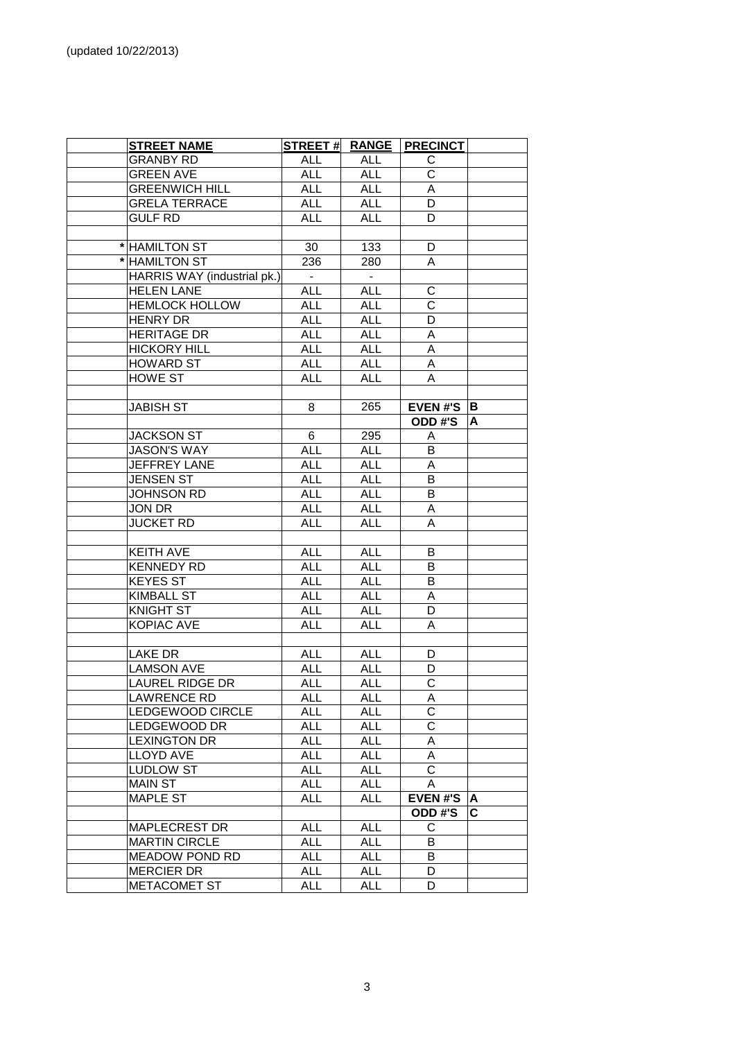| <b>STREET NAME</b>          | <b>STREET#</b> |                          | <b>RANGE   PRECINCT</b> |    |
|-----------------------------|----------------|--------------------------|-------------------------|----|
| <b>GRANBY RD</b>            | ALL            | ALL                      | С                       |    |
| <b>GREEN AVE</b>            | <b>ALL</b>     | <b>ALL</b>               | C                       |    |
| <b>GREENWICH HILL</b>       | <b>ALL</b>     | <b>ALL</b>               | A                       |    |
| <b>GRELA TERRACE</b>        | <b>ALL</b>     | <b>ALL</b>               | D                       |    |
| <b>GULF RD</b>              | <b>ALL</b>     | <b>ALL</b>               | D                       |    |
|                             |                |                          |                         |    |
| * HAMILTON ST               | 30             | 133                      | D                       |    |
| * HAMILTON ST               | 236            | 280                      | A                       |    |
| HARRIS WAY (industrial pk.) | $\blacksquare$ | $\overline{\phantom{a}}$ |                         |    |
| <b>HELEN LANE</b>           | <b>ALL</b>     | <b>ALL</b>               | $\mathsf C$             |    |
| <b>HEMLOCK HOLLOW</b>       | <b>ALL</b>     | <b>ALL</b>               | $\mathsf C$             |    |
| <b>HENRY DR</b>             | <b>ALL</b>     | <b>ALL</b>               | D                       |    |
| <b>HERITAGE DR</b>          | <b>ALL</b>     | <b>ALL</b>               | A                       |    |
| <b>HICKORY HILL</b>         | <b>ALL</b>     | <b>ALL</b>               | A                       |    |
| <b>HOWARD ST</b>            | <b>ALL</b>     | <b>ALL</b>               | A                       |    |
| <b>HOWE ST</b>              | <b>ALL</b>     | <b>ALL</b>               | A                       |    |
|                             |                |                          |                         |    |
| <b>JABISH ST</b>            | 8              | 265                      | <b>EVEN#'S</b>          | в  |
|                             |                |                          | ODD#'S                  | A  |
| <b>JACKSON ST</b>           | 6              | 295                      | A                       |    |
| <b>JASON'S WAY</b>          | <b>ALL</b>     | <b>ALL</b>               | B                       |    |
| JEFFREY LANE                | <b>ALL</b>     | <b>ALL</b>               | A                       |    |
| <b>JENSEN ST</b>            | <b>ALL</b>     | ALL                      | В                       |    |
| <b>JOHNSON RD</b>           | <b>ALL</b>     | <b>ALL</b>               | B                       |    |
| JON DR                      | <b>ALL</b>     | <b>ALL</b>               | A                       |    |
| <b>JUCKET RD</b>            | <b>ALL</b>     | <b>ALL</b>               | Α                       |    |
|                             |                |                          |                         |    |
| <b>KEITH AVE</b>            | <b>ALL</b>     | <b>ALL</b>               | B                       |    |
| <b>KENNEDY RD</b>           | <b>ALL</b>     | <b>ALL</b>               | B                       |    |
| <b>KEYES ST</b>             | <b>ALL</b>     | <b>ALL</b>               | B                       |    |
| <b>KIMBALL ST</b>           | <b>ALL</b>     | <b>ALL</b>               | A                       |    |
| <b>KNIGHT ST</b>            | <b>ALL</b>     | <b>ALL</b>               | D                       |    |
| <b>KOPIAC AVE</b>           | <b>ALL</b>     | <b>ALL</b>               | A                       |    |
|                             |                |                          |                         |    |
| LAKE DR                     | <b>ALL</b>     | <b>ALL</b>               | D                       |    |
| <b>LAMSON AVE</b>           | ALL            | ALL                      | D                       |    |
| <b>LAUREL RIDGE DR</b>      | <b>ALL</b>     | <b>ALL</b>               | $\mathsf C$             |    |
| LAWRENCE RD                 | <b>ALL</b>     | <b>ALL</b>               | A                       |    |
| LEDGEWOOD CIRCLE            | <b>ALL</b>     | <b>ALL</b>               | $\mathsf{C}$            |    |
| LEDGEWOOD DR                | <b>ALL</b>     | <b>ALL</b>               | C                       |    |
| <b>LEXINGTON DR</b>         | <b>ALL</b>     | <b>ALL</b>               | A                       |    |
| <b>LLOYD AVE</b>            | <b>ALL</b>     | <b>ALL</b>               | A                       |    |
| <b>LUDLOW ST</b>            | <b>ALL</b>     | <b>ALL</b>               | C                       |    |
| <b>MAIN ST</b>              | ALL            | <b>ALL</b>               | Α                       |    |
| <b>MAPLE ST</b>             | ALL            | <b>ALL</b>               | <b>EVEN#'S</b>          | Α  |
|                             |                |                          | ODD#'S                  | C. |
| <b>MAPLECREST DR</b>        | <b>ALL</b>     | <b>ALL</b>               | С                       |    |
| <b>MARTIN CIRCLE</b>        | ALL            | <b>ALL</b>               | B                       |    |
| MEADOW POND RD              | ALL            | <b>ALL</b>               | B                       |    |
| <b>MERCIER DR</b>           | ALL            | <b>ALL</b>               | D                       |    |
| METACOMET ST                | <b>ALL</b>     | <b>ALL</b>               | D                       |    |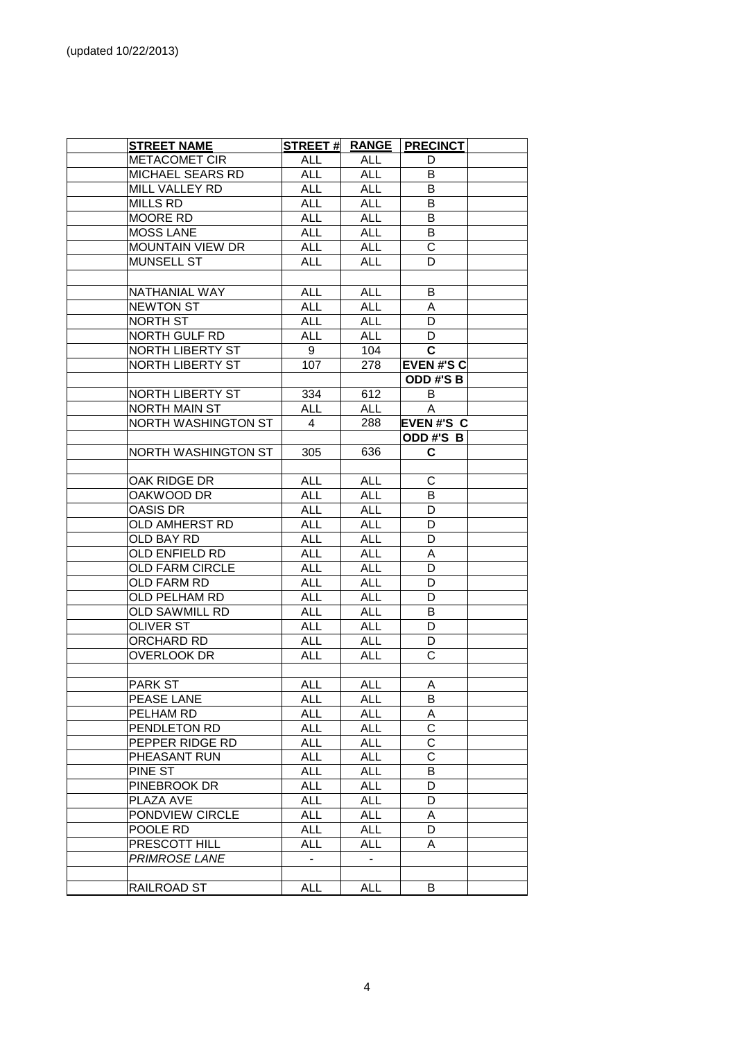| <b>STREET NAME</b>         | <b>STREET#</b> | <b>RANGE</b>      | <b>PRECINCT</b>         |  |
|----------------------------|----------------|-------------------|-------------------------|--|
| <b>METACOMET CIR</b>       | <b>ALL</b>     | <b>ALL</b>        | D                       |  |
| MICHAEL SEARS RD           | <b>ALL</b>     | <b>ALL</b>        | B                       |  |
| MILL VALLEY RD             | <b>ALL</b>     | <b>ALL</b>        | В                       |  |
| <b>MILLS RD</b>            | <b>ALL</b>     | <b>ALL</b>        | В                       |  |
| MOORE RD                   | <b>ALL</b>     | <b>ALL</b>        | B                       |  |
| <b>MOSS LANE</b>           | ALL            | <b>ALL</b>        | B                       |  |
| <b>MOUNTAIN VIEW DR</b>    | <b>ALL</b>     | <b>ALL</b>        | C                       |  |
| <b>MUNSELL ST</b>          | <b>ALL</b>     | <b>ALL</b>        | D                       |  |
|                            |                |                   |                         |  |
| NATHANIAL WAY              | ALL            | <b>ALL</b>        | B                       |  |
| <b>NEWTON ST</b>           | ALL            | <b>ALL</b>        | Α                       |  |
| NORTH ST                   | <b>ALL</b>     | <b>ALL</b>        | D                       |  |
| NORTH GULF RD              | <b>ALL</b>     | <b>ALL</b>        | D                       |  |
| NORTH LIBERTY ST           | 9              | 104               | C                       |  |
| NORTH LIBERTY ST           | 107            | 278               | <b>EVEN#'S C</b>        |  |
|                            |                |                   | ODD#'S B                |  |
| NORTH LIBERTY ST           | 334            | 612               | B                       |  |
| <b>NORTH MAIN ST</b>       | <b>ALL</b>     | <b>ALL</b>        | A                       |  |
| <b>NORTH WASHINGTON ST</b> | 4              | 288               | <b>EVEN#'S C</b>        |  |
|                            |                |                   | ODD#'S B                |  |
| NORTH WASHINGTON ST        | 305            | 636               | C.                      |  |
|                            |                |                   |                         |  |
| OAK RIDGE DR               | <b>ALL</b>     | <b>ALL</b>        | C                       |  |
| OAKWOOD DR                 | <b>ALL</b>     | <b>ALL</b>        | B                       |  |
| OASIS DR                   | <b>ALL</b>     | <b>ALL</b>        | D                       |  |
| OLD AMHERST RD             | <b>ALL</b>     | <b>ALL</b>        | D                       |  |
| OLD BAY RD                 | <b>ALL</b>     | <b>ALL</b>        | D                       |  |
| OLD ENFIELD RD             | <b>ALL</b>     | <b>ALL</b>        | A                       |  |
| <b>OLD FARM CIRCLE</b>     | <b>ALL</b>     | <b>ALL</b>        | D                       |  |
| OLD FARM RD                | <b>ALL</b>     | <b>ALL</b>        | D                       |  |
| OLD PELHAM RD              | <b>ALL</b>     | <b>ALL</b>        | D                       |  |
| <b>OLD SAWMILL RD</b>      | <b>ALL</b>     | <b>ALL</b>        | В                       |  |
| <b>OLIVER ST</b>           | <b>ALL</b>     | <b>ALL</b>        | D                       |  |
| ORCHARD RD                 | <b>ALL</b>     | <b>ALL</b>        | D                       |  |
| OVERLOOK DR                | <b>ALL</b>     |                   | C                       |  |
|                            |                | <b>ALL</b>        |                         |  |
| <b>PARK ST</b>             | <b>ALL</b>     |                   |                         |  |
| PEASE LANE                 | <b>ALL</b>     | ALL<br><b>ALL</b> | A<br>В                  |  |
| PELHAM RD                  | <b>ALL</b>     | <b>ALL</b>        |                         |  |
| PENDLETON RD               | ALL            | <b>ALL</b>        | A<br>C                  |  |
| PEPPER RIDGE RD            | ALL            | <b>ALL</b>        | $\mathsf C$             |  |
| PHEASANT RUN               | ALL            | <b>ALL</b>        | $\overline{\mathsf{C}}$ |  |
| PINE ST                    | <b>ALL</b>     | <b>ALL</b>        | B                       |  |
|                            |                | <b>ALL</b>        |                         |  |
| PINEBROOK DR               | <b>ALL</b>     |                   | D                       |  |
| PLAZA AVE                  | <b>ALL</b>     | <b>ALL</b>        | D                       |  |
| PONDVIEW CIRCLE            | <b>ALL</b>     | <b>ALL</b>        | A                       |  |
| POOLE RD                   | <b>ALL</b>     | <b>ALL</b>        | D                       |  |
| PRESCOTT HILL              | <b>ALL</b>     | <b>ALL</b>        | A                       |  |
| <b>PRIMROSE LANE</b>       |                |                   |                         |  |
|                            |                |                   |                         |  |
| RAILROAD ST                | <b>ALL</b>     | <b>ALL</b>        | В                       |  |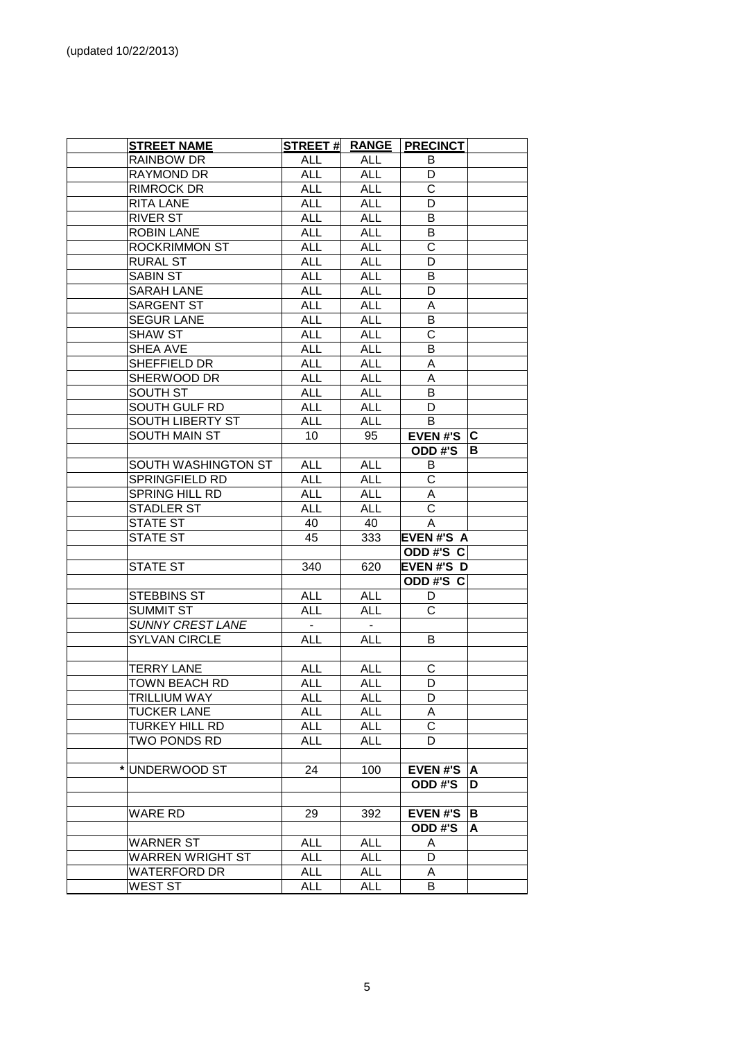| <b>STREET NAME</b>      |                 |            | STREET # RANGE PRECINCT |    |
|-------------------------|-----------------|------------|-------------------------|----|
|                         |                 |            |                         |    |
| RAINBOW DR              | <b>ALL</b>      | ALL        | B                       |    |
| RAYMOND DR              | <b>ALL</b>      | <b>ALL</b> | D<br>$\mathsf{C}$       |    |
| <b>RIMROCK DR</b>       | <b>ALL</b>      | <b>ALL</b> |                         |    |
| <b>RITA LANE</b>        | <b>ALL</b>      | <b>ALL</b> | D                       |    |
| RIVER ST                | <b>ALL</b>      | <b>ALL</b> | В                       |    |
| <b>ROBIN LANE</b>       | <b>ALL</b>      | <b>ALL</b> | В                       |    |
| <b>ROCKRIMMON ST</b>    | <b>ALL</b>      | <b>ALL</b> | $\mathbf C$             |    |
| <b>RURAL ST</b>         | <b>ALL</b>      | <b>ALL</b> | D                       |    |
| <b>SABIN ST</b>         | <b>ALL</b>      | <b>ALL</b> | В                       |    |
| <b>SARAH LANE</b>       | <b>ALL</b>      | <b>ALL</b> | D                       |    |
| SARGENT ST              | <b>ALL</b>      | <b>ALL</b> | A                       |    |
| <b>SEGUR LANE</b>       | <b>ALL</b>      | <b>ALL</b> | B                       |    |
| SHAW ST                 | <b>ALL</b>      | <b>ALL</b> | $\mathsf C$             |    |
| SHEA AVE                | <b>ALL</b>      | <b>ALL</b> | В                       |    |
| SHEFFIELD DR            | <b>ALL</b>      | <b>ALL</b> | Α                       |    |
| SHERWOOD DR             | <b>ALL</b>      | <b>ALL</b> | A                       |    |
| SOUTH ST                | <b>ALL</b>      | <b>ALL</b> | B                       |    |
| SOUTH GULF RD           | <b>ALL</b>      | <b>ALL</b> | D                       |    |
| SOUTH LIBERTY ST        | <b>ALL</b>      | <b>ALL</b> | B                       |    |
| SOUTH MAIN ST           | 10 <sup>°</sup> | 95         | EVEN#'S $ C $           |    |
|                         |                 |            | ODD#'S                  | в  |
| SOUTH WASHINGTON ST     | <b>ALL</b>      | <b>ALL</b> | B                       |    |
| SPRINGFIELD RD          | <b>ALL</b>      | <b>ALL</b> | $\mathsf{C}$            |    |
| SPRING HILL RD          | <b>ALL</b>      | <b>ALL</b> | A                       |    |
| <b>STADLER ST</b>       | <b>ALL</b>      | <b>ALL</b> | $\mathsf{C}$            |    |
| STATE ST                | 40              | 40         | A                       |    |
| <b>STATE ST</b>         | 45              | 333        | <b>EVEN#'S A</b>        |    |
|                         |                 |            | ODD#'S C                |    |
| <b>STATE ST</b>         | 340             | 620        | <b>EVEN#'S D</b>        |    |
|                         |                 |            | ODD#'S C                |    |
| STEBBINS ST             | <b>ALL</b>      | <b>ALL</b> | D                       |    |
| <b>SUMMIT ST</b>        | <b>ALL</b>      | <b>ALL</b> | $\mathsf{C}$            |    |
| <b>SUNNY CREST LANE</b> | $\sim$          | $\sim$ $-$ |                         |    |
| <b>SYLVAN CIRCLE</b>    | <b>ALL</b>      | <b>ALL</b> | B                       |    |
|                         |                 |            |                         |    |
| <b>TERRY LANE</b>       | <b>ALL</b>      | <b>ALL</b> | C                       |    |
| <b>TOWN BEACH RD</b>    | ALL             | ALL        | D                       |    |
| <b>TRILLIUM WAY</b>     | <b>ALL</b>      | <b>ALL</b> | D                       |    |
| <b>TUCKER LANE</b>      | <b>ALL</b>      | <b>ALL</b> | A                       |    |
| <b>TURKEY HILL RD</b>   | <b>ALL</b>      | <b>ALL</b> | C                       |    |
| TWO PONDS RD            | <b>ALL</b>      | ALL        | D                       |    |
|                         |                 |            |                         |    |
| UNDERWOOD ST            | 24              | 100        | <b>EVEN#'S</b>          | A  |
|                         |                 |            | ODD#'S                  | D. |
|                         |                 |            |                         |    |
| WARE RD                 | 29              | 392        | <b>EVEN#'S</b>          | В  |
|                         |                 |            | ODD#'S                  | A  |
| <b>WARNER ST</b>        | <b>ALL</b>      | <b>ALL</b> | A                       |    |
| <b>WARREN WRIGHT ST</b> | <b>ALL</b>      | <b>ALL</b> | D                       |    |
| <b>WATERFORD DR</b>     | <b>ALL</b>      | <b>ALL</b> | A                       |    |
| <b>WEST ST</b>          | <b>ALL</b>      | <b>ALL</b> | B                       |    |